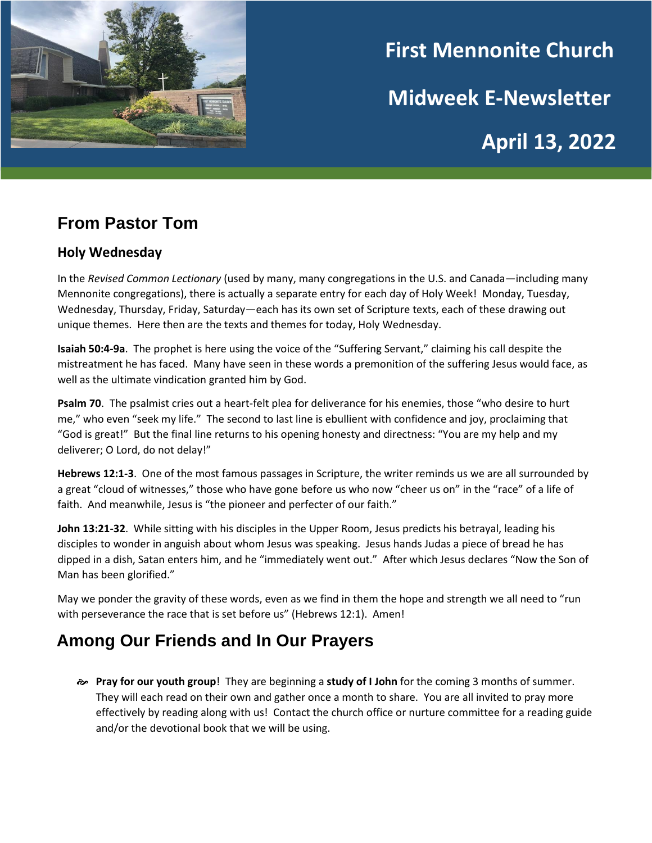

# **First Mennonite Church Midweek E-Newsletter April 13, 2022**

## **From Pastor Tom**

#### **Holy Wednesday**

In the *Revised Common Lectionary* (used by many, many congregations in the U.S. and Canada—including many Mennonite congregations), there is actually a separate entry for each day of Holy Week! Monday, Tuesday, Wednesday, Thursday, Friday, Saturday—each has its own set of Scripture texts, each of these drawing out unique themes. Here then are the texts and themes for today, Holy Wednesday.

**Isaiah 50:4-9a**. The prophet is here using the voice of the "Suffering Servant," claiming his call despite the mistreatment he has faced. Many have seen in these words a premonition of the suffering Jesus would face, as well as the ultimate vindication granted him by God.

**Psalm 70**. The psalmist cries out a heart-felt plea for deliverance for his enemies, those "who desire to hurt me," who even "seek my life." The second to last line is ebullient with confidence and joy, proclaiming that "God is great!" But the final line returns to his opening honesty and directness: "You are my help and my deliverer; O Lord, do not delay!"

**Hebrews 12:1-3**. One of the most famous passages in Scripture, the writer reminds us we are all surrounded by a great "cloud of witnesses," those who have gone before us who now "cheer us on" in the "race" of a life of faith. And meanwhile, Jesus is "the pioneer and perfecter of our faith."

**John 13:21-32**. While sitting with his disciples in the Upper Room, Jesus predicts his betrayal, leading his disciples to wonder in anguish about whom Jesus was speaking. Jesus hands Judas a piece of bread he has dipped in a dish, Satan enters him, and he "immediately went out." After which Jesus declares "Now the Son of Man has been glorified."

May we ponder the gravity of these words, even as we find in them the hope and strength we all need to "run with perseverance the race that is set before us" (Hebrews 12:1). Amen!

### **Among Our Friends and In Our Prayers**

 **Pray for our youth group**! They are beginning a **study of I John** for the coming 3 months of summer. They will each read on their own and gather once a month to share. You are all invited to pray more effectively by reading along with us! Contact the church office or nurture committee for a reading guide and/or the devotional book that we will be using.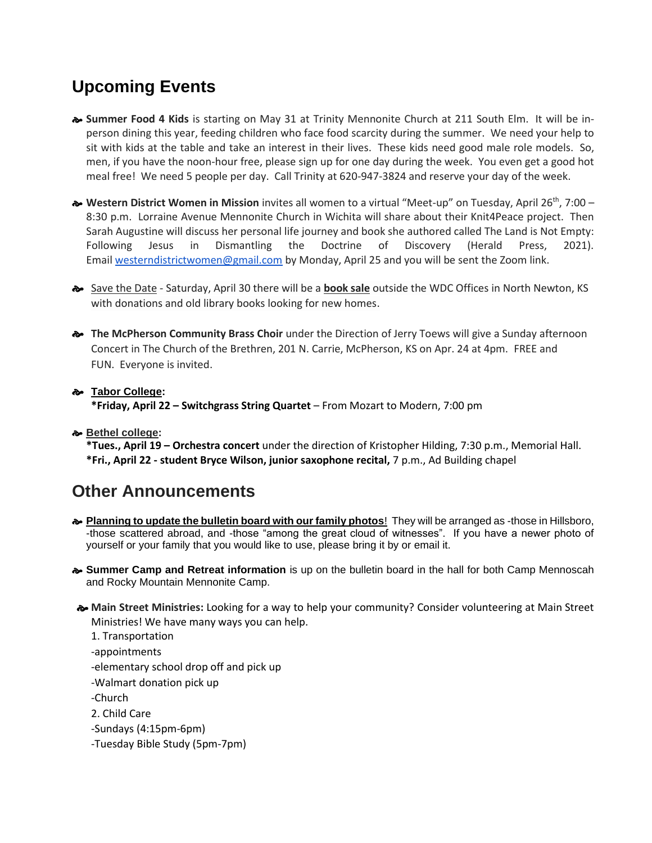## **Upcoming Events**

- **Summer Food 4 Kids** is starting on May 31 at Trinity Mennonite Church at 211 South Elm. It will be inperson dining this year, feeding children who face food scarcity during the summer. We need your help to sit with kids at the table and take an interest in their lives. These kids need good male role models. So, men, if you have the noon-hour free, please sign up for one day during the week. You even get a good hot meal free! We need 5 people per day. Call Trinity at 620-947-3824 and reserve your day of the week.
- **Western District Women in Mission** invites all women to a virtual "Meet-up" on Tuesday, April 26th, 7:00 8:30 p.m. Lorraine Avenue Mennonite Church in Wichita will share about their Knit4Peace project. Then Sarah Augustine will discuss her personal life journey and book she authored called The Land is Not Empty: Following Jesus in Dismantling the Doctrine of Discovery (Herald Press, 2021). Email [westerndistrictwomen@gmail.com](mailto:westerndistrictwomen@gmail.com) by Monday, April 25 and you will be sent the Zoom link.
- Save the Date Saturday, April 30 there will be a **book sale** outside the WDC Offices in North Newton, KS with donations and old library books looking for new homes.
- **The McPherson Community Brass Choir** under the Direction of Jerry Toews will give a Sunday afternoon Concert in The Church of the Brethren, 201 N. Carrie, McPherson, KS on Apr. 24 at 4pm. FREE and FUN. Everyone is invited.

#### **Tabor College:**

**\*Friday, April 22 – Switchgrass String Quartet** – From Mozart to Modern, 7:00 pm

#### **Bethel college:**

**\*Tues., April 19 – Orchestra concert** under the direction of Kristopher Hilding, 7:30 p.m., Memorial Hall. **\*Fri., April 22 - student Bryce Wilson, junior saxophone recital,** 7 p.m., Ad Building chapel

#### **Other Announcements**

- **Planning to update the bulletin board with our family photos**! They will be arranged as -those in Hillsboro, -those scattered abroad, and -those "among the great cloud of witnesses". If you have a newer photo of yourself or your family that you would like to use, please bring it by or email it.
- **Summer Camp and Retreat information** is up on the bulletin board in the hall for both Camp Mennoscah and Rocky Mountain Mennonite Camp.
- **Main Street Ministries:** Looking for a way to help your community? Consider volunteering at Main Street Ministries! We have many ways you can help.

1. Transportation -appointments -elementary school drop off and pick up -Walmart donation pick up -Church 2. Child Care -Sundays (4:15pm-6pm) -Tuesday Bible Study (5pm-7pm)